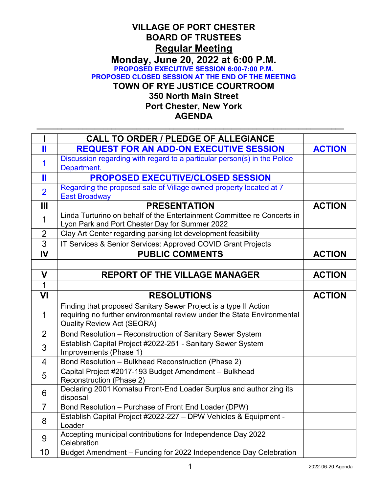## **VILLAGE OF PORT CHESTER BOARD OF TRUSTEES Regular Meeting Monday, June 20, 2022 at 6:00 P.M. PROPOSED EXECUTIVE SESSION 6:00-7:00 P.M. PROPOSED CLOSED SESSION AT THE END OF THE MEETING TOWN OF RYE JUSTICE COURTROOM 350 North Main Street Port Chester, New York AGENDA**

**\_\_\_\_\_\_\_\_\_\_\_\_\_\_\_\_\_\_\_\_\_\_\_\_\_\_\_\_\_\_\_\_\_\_\_\_\_\_\_\_\_\_\_\_\_\_\_\_\_\_\_\_\_\_\_\_\_\_\_\_\_\_\_\_\_\_\_\_\_\_\_\_\_\_**

|                | <b>CALL TO ORDER / PLEDGE OF ALLEGIANCE</b>                                                                               |               |
|----------------|---------------------------------------------------------------------------------------------------------------------------|---------------|
| Ш              | <b>REQUEST FOR AN ADD-ON EXECUTIVE SESSION</b>                                                                            | <b>ACTION</b> |
| 1              | Discussion regarding with regard to a particular person(s) in the Police                                                  |               |
|                | Department.                                                                                                               |               |
| Ш              | <b>PROPOSED EXECUTIVE/CLOSED SESSION</b>                                                                                  |               |
| $\overline{2}$ | Regarding the proposed sale of Village owned property located at 7<br><b>East Broadway</b>                                |               |
| $\mathbf{III}$ | <b>PRESENTATION</b>                                                                                                       | <b>ACTION</b> |
| $\mathbf 1$    | Linda Turturino on behalf of the Entertainment Committee re Concerts in<br>Lyon Park and Port Chester Day for Summer 2022 |               |
| $\overline{2}$ | Clay Art Center regarding parking lot development feasibility                                                             |               |
| 3              | IT Services & Senior Services: Approved COVID Grant Projects                                                              |               |
| IV             | <b>PUBLIC COMMENTS</b>                                                                                                    | <b>ACTION</b> |
|                |                                                                                                                           |               |
| $\mathbf V$    | <b>REPORT OF THE VILLAGE MANAGER</b>                                                                                      | <b>ACTION</b> |
| $\mathbf 1$    |                                                                                                                           |               |
| VI             | <b>RESOLUTIONS</b>                                                                                                        | <b>ACTION</b> |
|                | Finding that proposed Sanitary Sewer Project is a type II Action                                                          |               |
| $\mathbf 1$    | requiring no further environmental review under the State Environmental                                                   |               |
|                | <b>Quality Review Act (SEQRA)</b>                                                                                         |               |
| 2              | Bond Resolution - Reconstruction of Sanitary Sewer System                                                                 |               |
| 3              | Establish Capital Project #2022-251 - Sanitary Sewer System<br>Improvements (Phase 1)                                     |               |
| $\overline{4}$ | Bond Resolution - Bulkhead Reconstruction (Phase 2)                                                                       |               |
| 5              | Capital Project #2017-193 Budget Amendment - Bulkhead                                                                     |               |
|                | Reconstruction (Phase 2)                                                                                                  |               |
| 6              | Declaring 2001 Komatsu Front-End Loader Surplus and authorizing its<br>disposal                                           |               |
| $\overline{7}$ | Bond Resolution - Purchase of Front End Loader (DPW)                                                                      |               |
| 8              | Establish Capital Project #2022-227 - DPW Vehicles & Equipment -<br>Loader                                                |               |
| 9              | Accepting municipal contributions for Independence Day 2022                                                               |               |
|                | Celebration                                                                                                               |               |